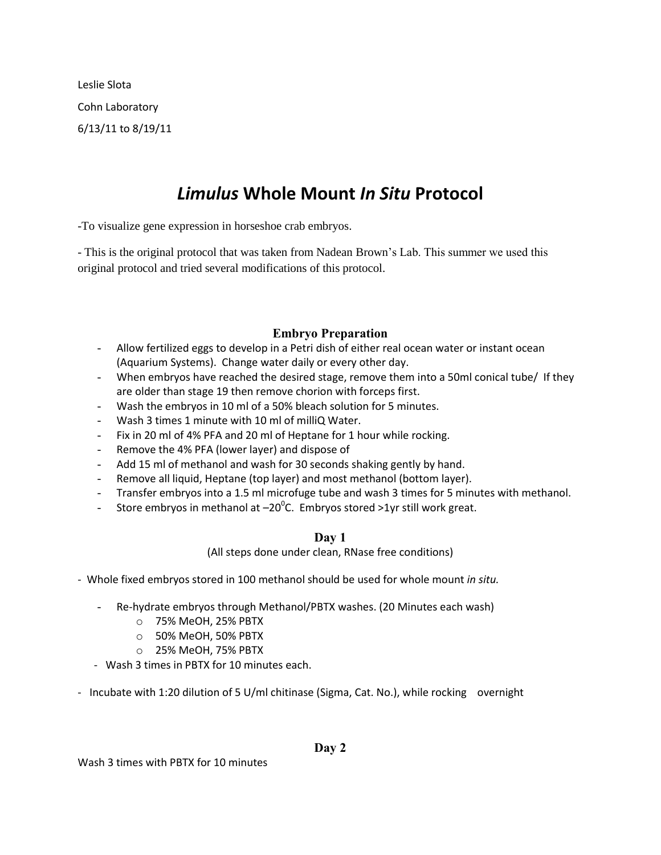Leslie Slota Cohn Laboratory 6/13/11 to 8/19/11

# *Limulus* **Whole Mount** *In Situ* **Protocol**

-To visualize gene expression in horseshoe crab embryos.

- This is the original protocol that was taken from Nadean Brown's Lab. This summer we used this original protocol and tried several modifications of this protocol.

## **Embryo Preparation**

- Allow fertilized eggs to develop in a Petri dish of either real ocean water or instant ocean (Aquarium Systems). Change water daily or every other day.
- When embryos have reached the desired stage, remove them into a 50ml conical tube/ If they are older than stage 19 then remove chorion with forceps first.
- Wash the embryos in 10 ml of a 50% bleach solution for 5 minutes.
- Wash 3 times 1 minute with 10 ml of milliQ Water.
- Fix in 20 ml of 4% PFA and 20 ml of Heptane for 1 hour while rocking.
- Remove the 4% PFA (lower layer) and dispose of
- Add 15 ml of methanol and wash for 30 seconds shaking gently by hand.
- Remove all liquid, Heptane (top layer) and most methanol (bottom layer).
- Transfer embryos into a 1.5 ml microfuge tube and wash 3 times for 5 minutes with methanol.
- Store embryos in methanol at  $-20^{\circ}$ C. Embryos stored >1yr still work great.

### **Day 1**

(All steps done under clean, RNase free conditions)

- Whole fixed embryos stored in 100 methanol should be used for whole mount *in situ.*

- Re-hydrate embryos through Methanol/PBTX washes. (20 Minutes each wash)
	- o 75% MeOH, 25% PBTX
	- o 50% MeOH, 50% PBTX
	- o 25% MeOH, 75% PBTX
- Wash 3 times in PBTX for 10 minutes each.
- Incubate with 1:20 dilution of 5 U/ml chitinase (Sigma, Cat. No.), while rocking overnight

### **Day 2**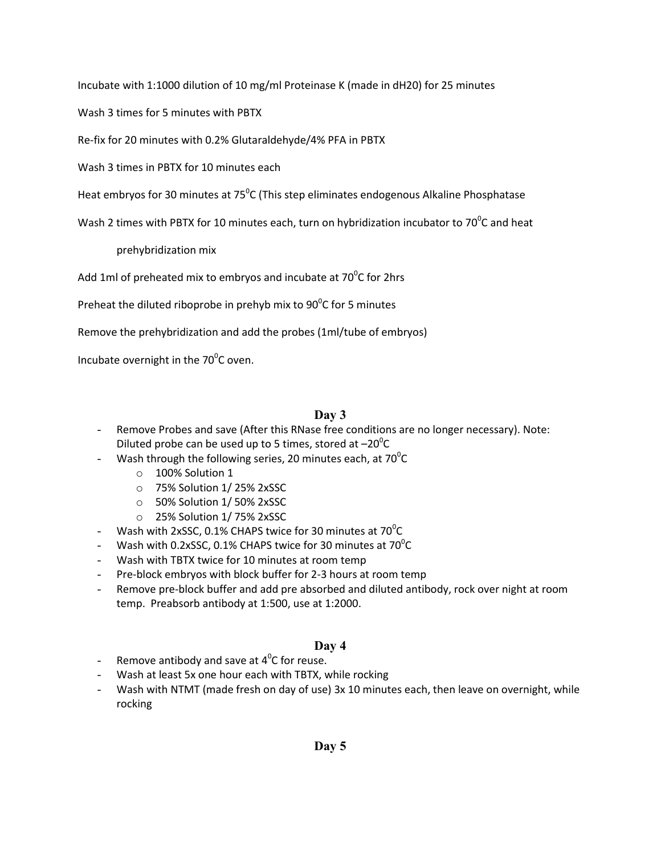Incubate with 1:1000 dilution of 10 mg/ml Proteinase K (made in dH20) for 25 minutes

Wash 3 times for 5 minutes with PBTX

Re-fix for 20 minutes with 0.2% Glutaraldehyde/4% PFA in PBTX

Wash 3 times in PBTX for 10 minutes each

Heat embryos for 30 minutes at 75<sup>o</sup>C (This step eliminates endogenous Alkaline Phosphatase

Wash 2 times with PBTX for 10 minutes each, turn on hybridization incubator to 70<sup>0</sup>C and heat

prehybridization mix

Add 1ml of preheated mix to embryos and incubate at 70 $^{\rm o}$ C for 2hrs

Preheat the diluted riboprobe in prehyb mix to  $90^{\circ}$ C for 5 minutes

Remove the prehybridization and add the probes (1ml/tube of embryos)

Incubate overnight in the 70 $^0$ C oven.

### **Day 3**

- Remove Probes and save (After this RNase free conditions are no longer necessary). Note: Diluted probe can be used up to 5 times, stored at  $-20^{\circ}$ C
- Wash through the following series, 20 minutes each, at 70 $^{\circ}$ C
	- o 100% Solution 1
	- o 75% Solution 1/ 25% 2xSSC
	- o 50% Solution 1/ 50% 2xSSC
	- o 25% Solution 1/ 75% 2xSSC
- $\,$  Wash with 2xSSC, 0.1% CHAPS twice for 30 minutes at 70 $\rm ^{0}$ C
- Wash with 0.2xSSC, 0.1% CHAPS twice for 30 minutes at 70 $^{\circ}$ C
- Wash with TBTX twice for 10 minutes at room temp
- Pre-block embryos with block buffer for 2-3 hours at room temp
- Remove pre-block buffer and add pre absorbed and diluted antibody, rock over night at room temp. Preabsorb antibody at 1:500, use at 1:2000.

### **Day 4**

- Remove antibody and save at  $4^0C$  for reuse.
- Wash at least 5x one hour each with TBTX, while rocking
- Wash with NTMT (made fresh on day of use) 3x 10 minutes each, then leave on overnight, while rocking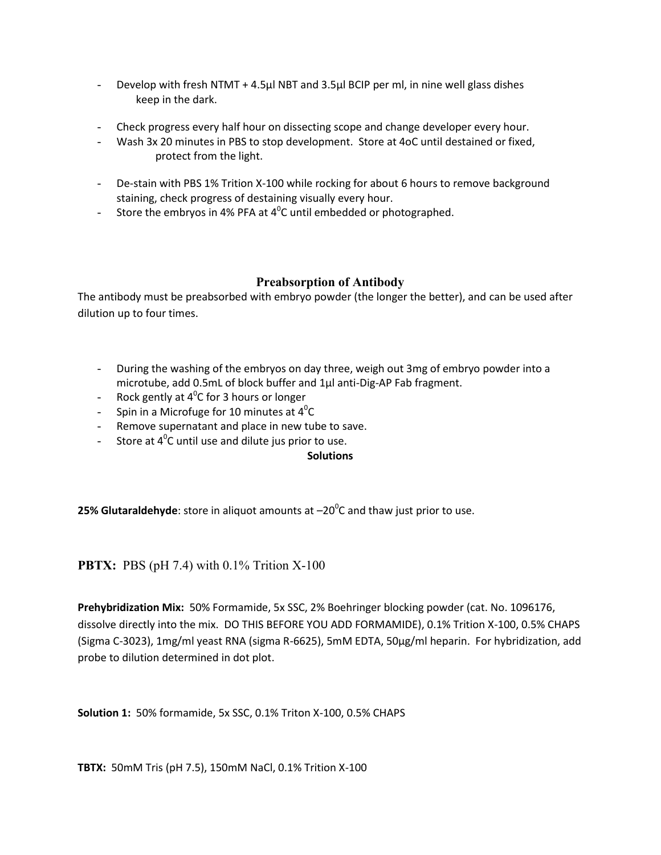- Develop with fresh NTMT + 4.5µl NBT and 3.5µl BCIP per ml, in nine well glass dishes keep in the dark.
- Check progress every half hour on dissecting scope and change developer every hour.
- Wash 3x 20 minutes in PBS to stop development. Store at 4oC until destained or fixed, protect from the light.
- De-stain with PBS 1% Trition X-100 while rocking for about 6 hours to remove background staining, check progress of destaining visually every hour.
- Store the embryos in 4% PFA at 4<sup>0</sup>C until embedded or photographed.

### **Preabsorption of Antibody**

The antibody must be preabsorbed with embryo powder (the longer the better), and can be used after dilution up to four times.

- During the washing of the embryos on day three, weigh out 3mg of embryo powder into a microtube, add 0.5mL of block buffer and 1µl anti-Dig-AP Fab fragment.
- $\;$  Rock gently at 4<sup>0</sup>C for 3 hours or longer
- Spin in a Microfuge for 10 minutes at  $4^0C$
- Remove supernatant and place in new tube to save.
- Store at  $4^{\circ}$ C until use and dilute jus prior to use.

#### **Solutions**

**25% Glutaraldehyde**: store in aliquot amounts at  $-20^{\circ}$ C and thaw just prior to use.

**PBTX:** PBS (pH 7.4) with 0.1% Trition X-100

**Prehybridization Mix:** 50% Formamide, 5x SSC, 2% Boehringer blocking powder (cat. No. 1096176, dissolve directly into the mix. DO THIS BEFORE YOU ADD FORMAMIDE), 0.1% Trition X-100, 0.5% CHAPS (Sigma C-3023), 1mg/ml yeast RNA (sigma R-6625), 5mM EDTA, 50µg/ml heparin. For hybridization, add probe to dilution determined in dot plot.

**Solution 1:** 50% formamide, 5x SSC, 0.1% Triton X-100, 0.5% CHAPS

**TBTX:** 50mM Tris (pH 7.5), 150mM NaCl, 0.1% Trition X-100